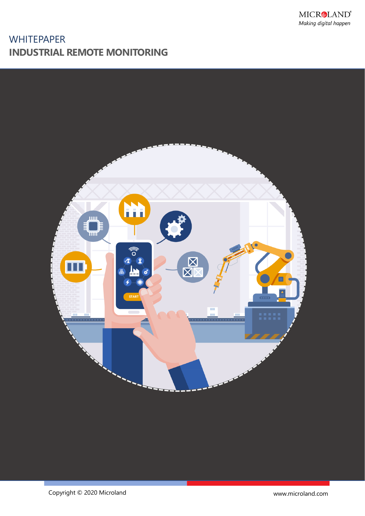

# **WHITEPAPER INDUSTRIAL REMOTE MONITORING**

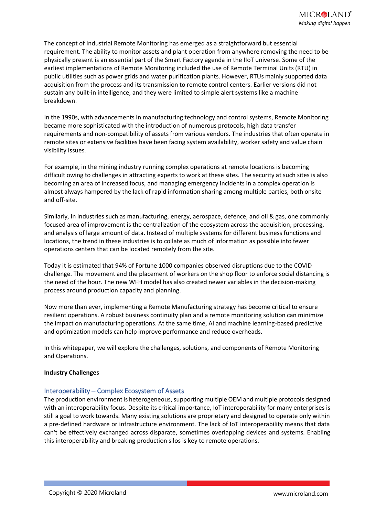The concept of Industrial Remote Monitoring has emerged as a straightforward but essential requirement. The ability to monitor assets and plant operation from anywhere removing the need to be physically present is an essential part of the Smart Factory agenda in the IIoT universe. Some of the earliest implementations of Remote Monitoring included the use of Remote Terminal Units (RTU) in public utilities such as power grids and water purification plants. However, RTUs mainly supported data acquisition from the process and its transmission to remote control centers. Earlier versions did not sustain any built-in intelligence, and they were limited to simple alert systems like a machine breakdown.

In the 1990s, with advancements in manufacturing technology and control systems, Remote Monitoring became more sophisticated with the introduction of numerous protocols, high data transfer requirements and non-compatibility of assets from various vendors. The industries that often operate in remote sites or extensive facilities have been facing system availability, worker safety and value chain visibility issues.

For example, in the mining industry running complex operations at remote locations is becoming difficult owing to challenges in attracting experts to work at these sites. The security at such sites is also becoming an area of increased focus, and managing emergency incidents in a complex operation is almost always hampered by the lack of rapid information sharing among multiple parties, both onsite and off-site.

Similarly, in industries such as manufacturing, energy, aerospace, defence, and oil & gas, one commonly focused area of improvement is the centralization of the ecosystem across the acquisition, processing, and analysis of large amount of data. Instead of multiple systems for different business functions and locations, the trend in these industries is to collate as much of information as possible into fewer operations centers that can be located remotely from the site.

Today it is estimated that 94% of Fortune 1000 companies observed disruptions due to the COVID challenge. The movement and the placement of workers on the shop floor to enforce social distancing is the need of the hour. The new WFH model has also created newer variables in the decision-making process around production capacity and planning.

Now more than ever, implementing a Remote Manufacturing strategy has become critical to ensure resilient operations. A robust business continuity plan and a remote monitoring solution can minimize the impact on manufacturing operations. At the same time, AI and machine learning-based predictive and optimization models can help improve performance and reduce overheads.

In this whitepaper, we will explore the challenges, solutions, and components of Remote Monitoring and Operations.

#### **Industry Challenges**

#### Interoperability – Complex Ecosystem of Assets

The production environment is heterogeneous, supporting multiple OEM and multiple protocols designed with an interoperability focus. Despite its critical importance, IoT interoperability for many enterprises is still a goal to work towards. Many existing solutions are proprietary and designed to operate only within a pre-defined hardware or infrastructure environment. The lack of IoT interoperability means that data can't be effectively exchanged across disparate, sometimes overlapping devices and systems. Enabling this interoperability and breaking production silos is key to remote operations.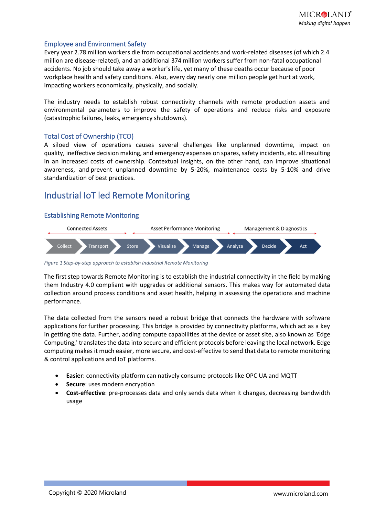#### Employee and Environment Safety

Every year 2.78 million workers die from occupational accidents and work-related diseases (of which 2.4 million are disease-related), and an additional 374 million workers suffer from non-fatal occupational accidents. No job should take away a worker's life, yet many of these deaths occur because of poor workplace health and safety conditions. Also, every day nearly one million people get hurt at work, impacting workers economically, physically, and socially.

The industry needs to establish robust connectivity channels with remote production assets and environmental parameters to improve the safety of operations and reduce risks and exposure (catastrophic failures, leaks, emergency shutdowns).

#### Total Cost of Ownership (TCO)

A siloed view of operations causes several challenges like unplanned downtime, impact on quality, ineffective decision making, and emergency expenses on spares, safety incidents, etc. all resulting in an increased costs of ownership. Contextual insights, on the other hand, can improve situational awareness, and prevent unplanned downtime by 5-20%, maintenance costs by 5-10% and drive standardization of best practices.

### Industrial IoT led Remote Monitoring

#### Establishing Remote Monitoring



*Figure 1 Step-by-step approach to establish Industrial Remote Monitoring*

The first step towards Remote Monitoring is to establish the industrial connectivity in the field by making them Industry 4.0 compliant with upgrades or additional sensors. This makes way for automated data collection around process conditions and asset health, helping in assessing the operations and machine performance.

The data collected from the sensors need a robust bridge that connects the hardware with software applications for further processing. This bridge is provided by connectivity platforms, which act as a key in getting the data. Further, adding compute capabilities at the device or asset site, also known as 'Edge Computing,' translates the data into secure and efficient protocols before leaving the local network. Edge computing makes it much easier, more secure, and cost-effective to send that data to remote monitoring & control applications and IoT platforms.

- **Easier**: connectivity platform can natively consume protocols like OPC UA and MQTT
- **Secure**: uses modern encryption
- **Cost-effective**: pre-processes data and only sends data when it changes, decreasing bandwidth usage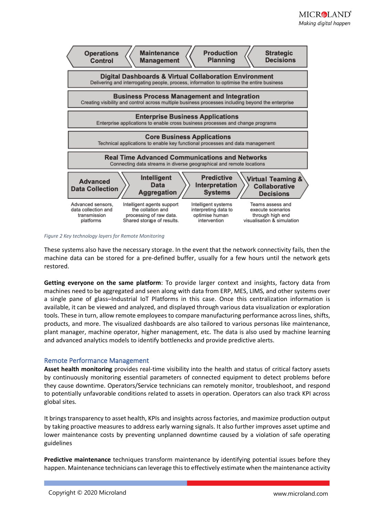

*Figure 2 Key technology layers for Remote Monitoring*

These systems also have the necessary storage. In the event that the network connectivity fails, then the machine data can be stored for a pre-defined buffer, usually for a few hours until the network gets restored.

**Getting everyone on the same platform**: To provide larger context and insights, factory data from machines need to be aggregated and seen along with data from ERP, MES, LIMS, and other systems over a single pane of glass–Industrial IoT Platforms in this case. Once this centralization information is available, it can be viewed and analyzed, and displayed through various data visualization or exploration tools. These in turn, allow remote employees to compare manufacturing performance across lines, shifts, products, and more. The visualized dashboards are also tailored to various personas like maintenance, plant manager, machine operator, higher management, etc. The data is also used by machine learning and advanced analytics models to identify bottlenecks and provide predictive alerts.

#### Remote Performance Management

**Asset health monitoring** provides real-time visibility into the health and status of critical factory assets by continuously monitoring essential parameters of connected equipment to detect problems before they cause downtime. Operators/Service technicians can remotely monitor, troubleshoot, and respond to potentially unfavorable conditions related to assets in operation. Operators can also track KPI across global sites.

It brings transparency to asset health, KPIs and insights across factories, and maximize production output by taking proactive measures to address early warning signals. It also further improves asset uptime and lower maintenance costs by preventing unplanned downtime caused by a violation of safe operating guidelines

**Predictive maintenance** techniques transform maintenance by identifying potential issues before they happen. Maintenance technicians can leverage this to effectively estimate when the maintenance activity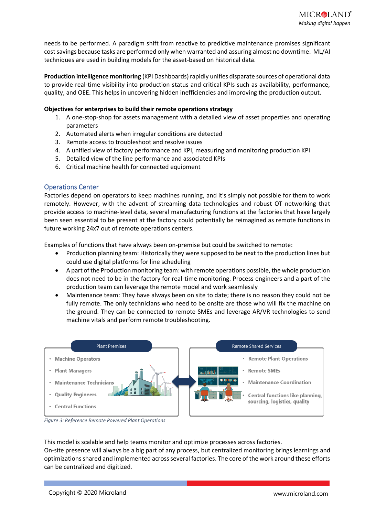needs to be performed. A paradigm shift from reactive to predictive maintenance promises significant cost savings because tasks are performed only when warranted and assuring almost no downtime. ML/AI techniques are used in building models for the asset-based on historical data.

**Production intelligence monitoring** (KPI Dashboards) rapidly unifies disparate sources of operational data to provide real-time visibility into production status and critical KPIs such as availability, performance, quality, and OEE. This helps in uncovering hidden inefficiencies and improving the production output.

#### **Objectives for enterprises to build their remote operations strategy**

- 1. A one-stop-shop for assets management with a detailed view of asset properties and operating parameters
- 2. Automated alerts when irregular conditions are detected
- 3. Remote access to troubleshoot and resolve issues
- 4. A unified view of factory performance and KPI, measuring and monitoring production KPI
- 5. Detailed view of the line performance and associated KPIs
- 6. Critical machine health for connected equipment

#### Operations Center

Factories depend on operators to keep machines running, and it's simply not possible for them to work remotely. However, with the advent of streaming data technologies and robust OT networking that provide access to machine-level data, several manufacturing functions at the factories that have largely been seen essential to be present at the factory could potentially be reimagined as remote functions in future working 24x7 out of remote operations centers.

Examples of functions that have always been on-premise but could be switched to remote:

- Production planning team: Historically they were supposed to be next to the production lines but could use digital platforms for line scheduling
- A part of the Production monitoring team: with remote operations possible, the whole production does not need to be in the factory for real-time monitoring. Process engineers and a part of the production team can leverage the remote model and work seamlessly
- Maintenance team: They have always been on site to date; there is no reason they could not be fully remote. The only technicians who need to be onsite are those who will fix the machine on the ground. They can be connected to remote SMEs and leverage AR/VR technologies to send machine vitals and perform remote troubleshooting.



*Figure 3: Reference Remote Powered Plant Operations*

This model is scalable and help teams monitor and optimize processes across factories. On-site presence will always be a big part of any process, but centralized monitoring brings learnings and optimizations shared and implemented across several factories. The core of the work around these efforts can be centralized and digitized.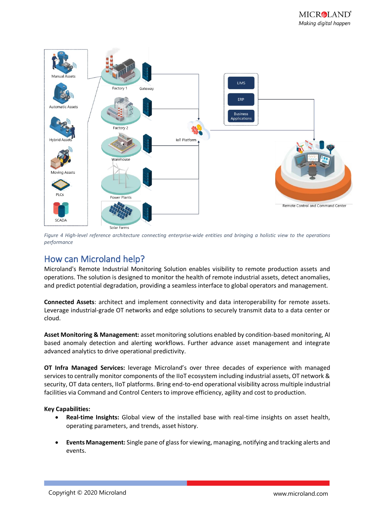

*Figure 4 High-level reference architecture connecting enterprise-wide entities and bringing a holistic view to the operations performance*

## How can Microland help?

Microland's Remote Industrial Monitoring Solution enables visibility to remote production assets and operations. The solution is designed to monitor the health of remote industrial assets, detect anomalies, and predict potential degradation, providing a seamless interface to global operators and management.

**Connected Assets**: architect and implement connectivity and data interoperability for remote assets. Leverage industrial-grade OT networks and edge solutions to securely transmit data to a data center or cloud.

**Asset Monitoring & Management:** asset monitoring solutions enabled by condition-based monitoring, AI based anomaly detection and alerting workflows. Further advance asset management and integrate advanced analytics to drive operational predictivity.

**OT Infra Managed Services:** leverage Microland's over three decades of experience with managed services to centrally monitor components of the IIoT ecosystem including industrial assets, OT network & security, OT data centers, IIoT platforms. Bring end-to-end operational visibility across multiple industrial facilities via Command and Control Centers to improve efficiency, agility and cost to production.

#### **Key Capabilities:**

- **Real-time Insights:** Global view of the installed base with real-time insights on asset health, operating parameters, and trends, asset history.
- **Events Management:** Single pane of glass for viewing, managing, notifying and tracking alerts and events.